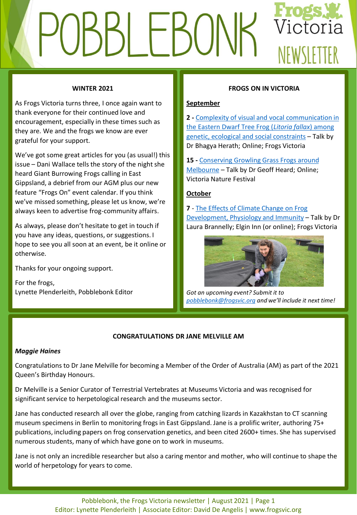# Victoria **LEBO** NFWSIFTTFR

## **WINTER 2021**

As Frogs Victoria turns three, I once again want to thank everyone for their continued love and encouragement, especially in these times such as they are. We and the frogs we know are ever grateful for your support.

We've got some great articles for you (as usual!) this issue – Dani Wallace tells the story of the night she heard Giant Burrowing Frogs calling in East Gippsland, a debrief from our AGM plus our new feature "Frogs On" event calendar. If you think we've missed something, please let us know, we're always keen to advertise frog-community affairs.

As always, please don't hesitate to get in touch if you have any ideas, questions, or suggestions. I hope to see you all soon at an event, be it online or otherwise.

Thanks for your ongoing support.

For the frogs, Lynette Plenderleith, Pobblebonk Editor

## **FROGS ON IN VICTORIA**

## **September**

**2 -** [Complexity of visual and vocal communication in](https://www.frogsvic.org/events) the Eastern Dwarf Tree Frog (*Litoria fallax*) among genetic, ecological and social constraints – Talk by Dr Bhagya Herath; Online; Frogs Victoria

**15 -** [Conserving Growling Grass Frogs around](https://www.together.vic.gov.au/nature-wildlife/conserving-growling-grass-frogs-around-melbourne) Melbourne – Talk by Dr Geoff Heard; Online; Victoria Nature Festival

## **October**

**7** - The Effects of Climate Change on Frog [Development, Physiology and Immunity](https://www.frogsvic.org/events) – Talk by Dr Laura Brannelly; Elgin Inn (or online); Frogs Victoria



*Got an upcoming event? Submit it to [pobblebonk@frogsvic.org](mailto:pobblebonk@frogsvic.org) and we'll include it next time!*

## **CONGRATULATIONS DR JANE MELVILLE AM**

## *Maggie Haines*

Congratulations to Dr Jane Melville for becoming a Member of the Order of Australia (AM) as part of the 2021 Queen's Birthday Honours.

Dr Melville is a Senior Curator of Terrestrial Vertebrates at Museums Victoria and was recognised for significant service to herpetological research and the museums sector.

Jane has conducted research all over the globe, ranging from catching lizards in Kazakhstan to CT scanning museum specimens in Berlin to monitoring frogs in East Gippsland. Jane is a prolific writer, authoring 75+ publications, including papers on frog conservation genetics, and been cited 2600+ times. She has supervised numerous students, many of which have gone on to work in museums.

Jane is not only an incredible researcher but also a caring mentor and mother, who will continue to shape the world of herpetology for years to come.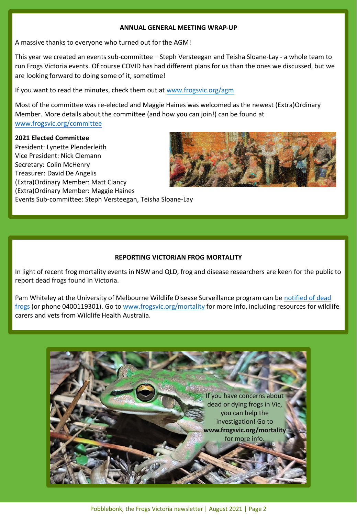#### **ANNUAL GENERAL MEETING WRAP-UP**

A massive thanks to everyone who turned out for the AGM!

This year we created an events sub-committee – Steph Versteegan and Teisha Sloane-Lay - a whole team to run Frogs Victoria events. Of course COVID has had different plans for us than the ones we discussed, but we are looking forward to doing some of it, sometime!

If you want to read the minutes, check them out at [www.frogsvic.org/agm](http://www.frogsvic.org/agm)

Most of the committee was re-elected and Maggie Haines was welcomed as the newest (Extra)Ordinary Member. More details about the committee (and how you can join!) can be found at [www.frogsvic.org/committee](http://www.frogsvic.org/committee)

#### **2021 Elected Committee**

President: Lynette Plenderleith Vice President: Nick Clemann Secretary: Colin McHenry Treasurer: David De Angelis (Extra)Ordinary Member: Matt Clancy (Extra)Ordinary Member: Maggie Haines Events Sub-committee: Steph Versteegan, Teisha Sloane-Lay



## **REPORTING VICTORIAN FROG MORTALITY**

In light of recent frog mortality events in NSW and QLD, frog and disease researchers are keen for the public to report dead frogs found in Victoria.

Pam Whiteley [at the University of Melbourne Wildlife Disease Surveillance program can be](mailto:Pamw@unimelb.edu.au) notified of dead frogs (or phone 0400119301). Go to [www.frogsvic.org/mortality](http://www.frogsvic.org/mortality) for more info, including resources for wildlife carers and vets from Wildlife Health Australia.

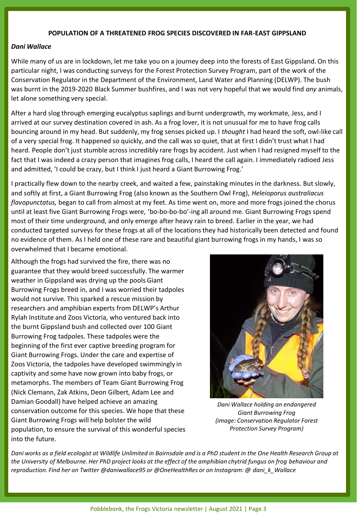#### **POPULATION OF A THREATENED FROG SPECIES DISCOVERED IN FAR-EAST GIPPSLAND**

#### *Dani Wallace*

While many of us are in lockdown, let me take you on a journey deep into the forests of East Gippsland. On this particular night, I was conducting surveys for the Forest Protection Survey Program, part of the work of the Conservation Regulator in the Department of the Environment, Land Water and Planning (DELWP). The bush was burnt in the 2019-2020 Black Summer bushfires, and I was not very hopeful that we would find *any* animals, let alone something very special.

After a hard slog through emerging eucalyptus saplings and burnt undergrowth, my workmate, Jess, and I arrived at our survey destination covered in ash. As a frog lover, it is not unusual for me to have frog calls bouncing around in my head. But suddenly, my frog senses picked up. I *thought* I had heard the soft, owl-like call of a very special frog. It happened so quickly, and the call was so quiet, that at first I didn't trust what I had heard. People don't just stumble across incredibly rare frogs by accident. Just when I had resigned myself to the fact that I was indeed a crazy person that imagines frog calls, I heard the call again. I immediately radioed Jess and admitted, 'I could be crazy, but I think I just heard a Giant Burrowing Frog.'

I practically flew down to the nearby creek, and waited a few, painstaking minutes in the darkness. But slowly, and softly at first, a Giant Burrowing Frog (also known as the Southern Owl Frog), *Heleioporus australiacus flavopunctatus,* began to call from almost at my feet. As time went on, more and more frogs joined the chorus until at least five Giant Burrowing Frogs were, 'bo-bo-bo-bo'-ing all around me. Giant Burrowing Frogs spend most of their time underground, and only emerge after heavy rain to breed. Earlier in the year, we had conducted targeted surveys for these frogs at all of the locations they had historically been detected and found no evidence of them. As I held one of these rare and beautiful giant burrowing frogs in my hands, I was so overwhelmed that I became emotional.

Although the frogs had survived the fire, there was no guarantee that they would breed successfully. The warmer weather in Gippsland was drying up the pools Giant Burrowing Frogs breed in, and I was worried their tadpoles would not survive. This sparked a rescue mission by researchers and amphibian experts from DELWP's Arthur Rylah Institute and Zoos Victoria, who ventured back into the burnt Gippsland bush and collected over 100 Giant Burrowing Frog tadpoles. These tadpoles were the beginning of the first ever captive breeding program for Giant Burrowing Frogs. Under the care and expertise of Zoos Victoria, the tadpoles have developed swimmingly in captivity and some have now grown into baby frogs, or metamorphs. The members of Team Giant Burrowing Frog (Nick Clemann, Zak Atkins, Deon Gilbert, Adam Lee and Damian Goodall) have helped achieve an amazing conservation outcome for this species. We hope that these Giant Burrowing Frogs will help bolster the wild population, to ensure the survival of this wonderful species into the future.



*Dani Wallace holding an endangered Giant Burrowing Frog (image: Conservation Regulator Forest Protection Survey Program)*

*Dani works as a field ecologist at Wildlife Unlimited in Bairnsdale and is a PhD student in the One Health Research Group at the University of Melbourne. Her PhD project looks at the effect of the amphibian chytrid fungus on frog behaviour and reproduction. Find her on Twitter @daniwallace95 or @OneHealthRes or on Instagram: @ dani\_k\_Wallace*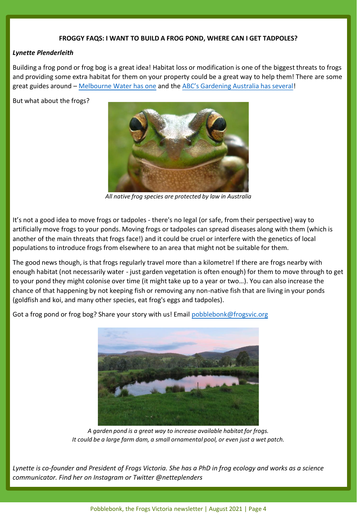#### **FROGGY FAQS: I WANT TO BUILD A FROG POND, WHERE CAN I GET TADPOLES?**

#### *Lynette Plenderleith*

Building a frog pond or frog bog is a great idea! Habitat loss or modification is one of the biggest threats to frogs and providing some extra habitat for them on your property could be a great way to help them! There are some great guides around – [Melbourne Water has one](https://www.melbournewater.com.au/water-data-and-education/learning-resources/browse-resources-year-level/creating-frog-friendly) and the [ABC's Gardening Australia has several](http://www.abc.net.au/gardening/factsheets/frog-bog/9801490)!

But what about the frogs?



*All native frog species are protected by law in Australia*

It's not a good idea to move frogs or tadpoles - there's no legal (or safe, from their perspective) way to artificially move frogs to your ponds. Moving frogs or tadpoles can spread diseases along with them (which is another of the main threats that frogs face!) and it could be cruel or interfere with the genetics of local populations to introduce frogs from elsewhere to an area that might not be suitable for them.

The good news though, is that frogs regularly travel more than a kilometre! If there are frogs nearby with enough habitat (not necessarily water - just garden vegetation is often enough) for them to move through to get to your pond they might colonise over time (it might take up to a year or two…). You can also increase the chance of that happening by not keeping fish or removing any non-native fish that are living in your ponds (goldfish and koi, and many other species, eat frog's eggs and tadpoles).

Got a frog pond or frog bog? Share your story with us! Email [pobblebonk@frogsvic.org](mailto:pobblebonk@frogsvic.org)



*A garden pond is a great way to increase available habitat for frogs. It could be a large farm dam, a small ornamental pool, or even just a wet patch.* 

*Lynette is co-founder and President of Frogs Victoria. She has a PhD in frog ecology and works as a science communicator. Find her on Instagram or Twitter @netteplenders*